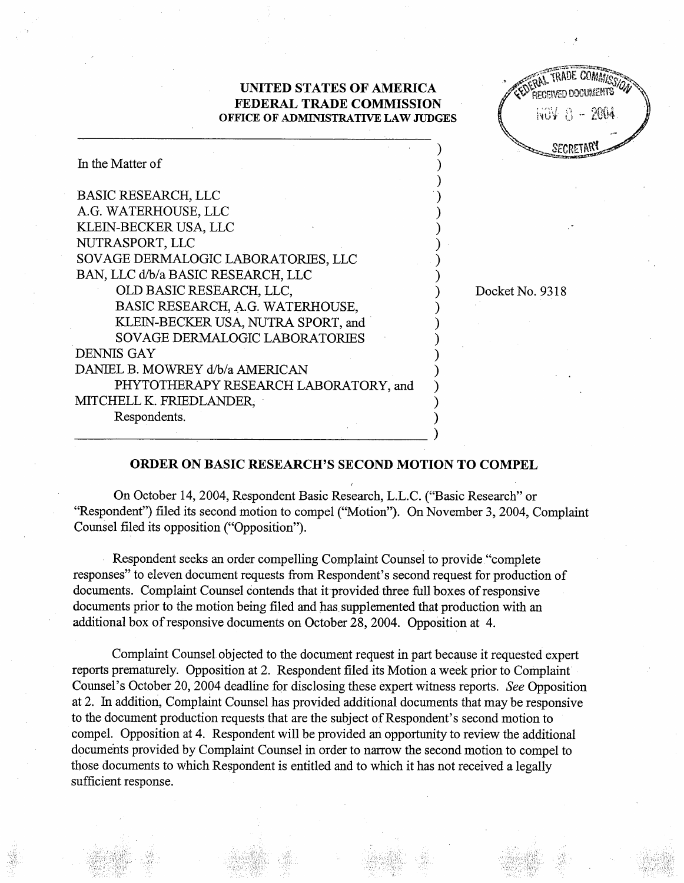## UNITED STATES OF AMERICA FEDERAL TRADE COMMISSION OFFICE OF ADMINISTRATIVE LAW JUDGES

 $\lambda$ 

| <b>EXPERIME TRADE COMMISSION</b><br>RECEIVED DOCUMENTS |                  |              |  |
|--------------------------------------------------------|------------------|--------------|--|
|                                                        |                  | NOV 8 - 2004 |  |
|                                                        | <b>SECRETARY</b> |              |  |

| In the Matter of                      |  |
|---------------------------------------|--|
| <b>BASIC RESEARCH, LLC</b>            |  |
| A.G. WATERHOUSE, LLC                  |  |
| KLEIN-BECKER USA, LLC                 |  |
| NUTRASPORT, LLC                       |  |
| SOVAGE DERMALOGIC LABORATORIES, LLC   |  |
| BAN, LLC d/b/a BASIC RESEARCH, LLC    |  |
| OLD BASIC RESEARCH, LLC,              |  |
| BASIC RESEARCH, A.G. WATERHOUSE,      |  |
| KLEIN-BECKER USA, NUTRA SPORT, and    |  |
| <b>SOVAGE DERMALOGIC LABORATORIES</b> |  |
| DENNIS GAY                            |  |
| DANIEL B. MOWREY d/b/a AMERICAN       |  |
| PHYTOTHERAPY RESEARCH LABORATORY, and |  |
| MITCHELL K. FRIEDLANDER,              |  |
| Respondents.                          |  |
|                                       |  |

Docket No. 9318

## ORDER ON BASIC RESEARCH'S SECOND MOTION TO COMPEL

On October 14, 2004, Respondent Basic Research, L.L.c. ("Basic Research" or "Respondent") filed its second motion to compel ("Motion"). On November 3, 2004, Complaint Counsel filed its opposition ("Opposition").

Respondent seeks an order compelling Complaint Counsel to provide "complete responses" to eleven document requests from Respondent's second request for production of documents. Complaint Counsel contends that it provided three full boxes of responsive documents prior to the motion being filed and has supplemented that production with an additional box of responsive documents on October 28 2004. Opposition at 4.

Complaint Counsel objected to the document request in part because it requested expert reports prematurely. Opposition at 2. Respondent filed its Motion a week prior to Complaint Counsel's October 20, 2004 deadline for disclosing these expert witness reports. See Opposition at 2. In addition, Complaint Counsel has provided additional documents that may be responsive to the document production requests that are the subject of Respondent's second motion to compel. Opposition at 4. Respondent will be provided an opportunity to review the additional documents provided by Complaint Counsel in order to narrow the second motion to compel to those documents to which Respondent is entitled and to which it has not received a legally sufficient response.